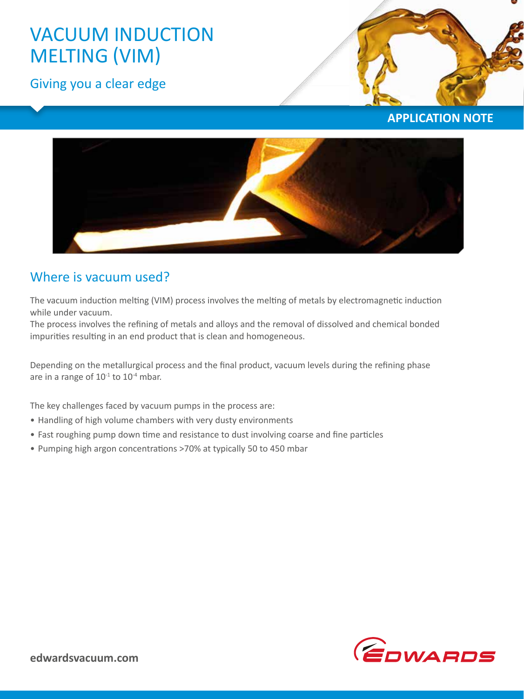# VACUUM INDUCTION MELTING (VIM)

Giving you a clear edge



**APPLICATION NOTE**



## Where is vacuum used?

The vacuum induction melting (VIM) process involves the melting of metals by electromagnetic induction while under vacuum.

The process involves the refining of metals and alloys and the removal of dissolved and chemical bonded impurities resulting in an end product that is clean and homogeneous.

Depending on the metallurgical process and the final product, vacuum levels during the refining phase are in a range of  $10^{-1}$  to  $10^{-4}$  mbar.

The key challenges faced by vacuum pumps in the process are:

- Handling of high volume chambers with very dusty environments
- Fast roughing pump down time and resistance to dust involving coarse and fine particles
- Pumping high argon concentrations >70% at typically 50 to 450 mbar

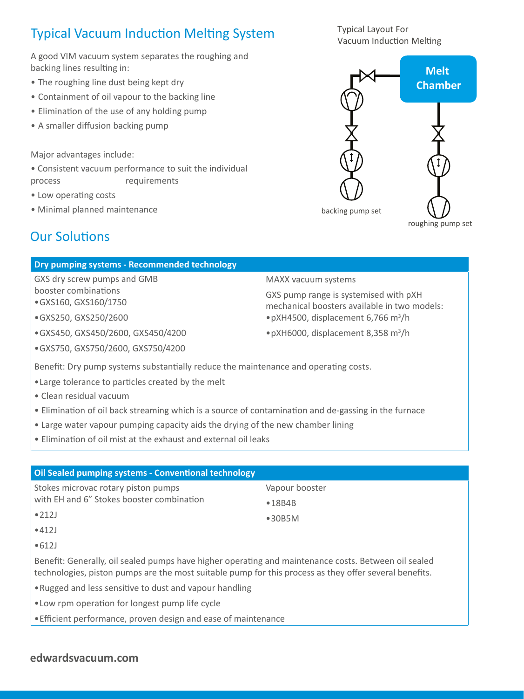## Typical Vacuum Induction Melting System

A good VIM vacuum system separates the roughing and backing lines resulting in:

- The roughing line dust being kept dry
- Containment of oil vapour to the backing line
- Elimination of the use of any holding pump
- A smaller diffusion backing pump

Major advantages include:

• Consistent vacuum performance to suit the individual process requirements

- Low operating costs
- Minimal planned maintenance

## Our Solutions

### **Dry pumping systems - Recommended technology**

GXS dry screw pumps and GMB booster combinations •GXS160, GXS160/1750

•GXS250, GXS250/2600

•GXS450, GXS450/2600, GXS450/4200

•GXS750, GXS750/2600, GXS750/4200

MAXX vacuum systems

GXS pump range is systemised with pXH mechanical boosters available in two models: •pXH4500, displacement 6,766 m<sup>3</sup> /h

•pXH6000, displacement 8,358 m<sup>3</sup> /h

Benefit: Dry pump systems substantially reduce the maintenance and operating costs.

- •Large tolerance to particles created by the melt
- Clean residual vacuum
- Elimination of oil back streaming which is a source of contamination and de-gassing in the furnace
- Large water vapour pumping capacity aids the drying of the new chamber lining
- Elimination of oil mist at the exhaust and external oil leaks

### **Oil Sealed pumping systems - Conventional technology**

Stokes microvac rotary piston pumps with EH and 6" Stokes booster combination

- Vapour booster
- •18B4B
- •30B5M
- •212J •412J
- •612J

Benefit: Generally, oil sealed pumps have higher operating and maintenance costs. Between oil sealed technologies, piston pumps are the most suitable pump for this process as they offer several benefits.

- •Rugged and less sensitive to dust and vapour handling
- •Low rpm operation for longest pump life cycle
- •Efficient performance, proven design and ease of maintenance

### **edwardsvacuum.com**

Typical Layout For Vacuum Induction Melting

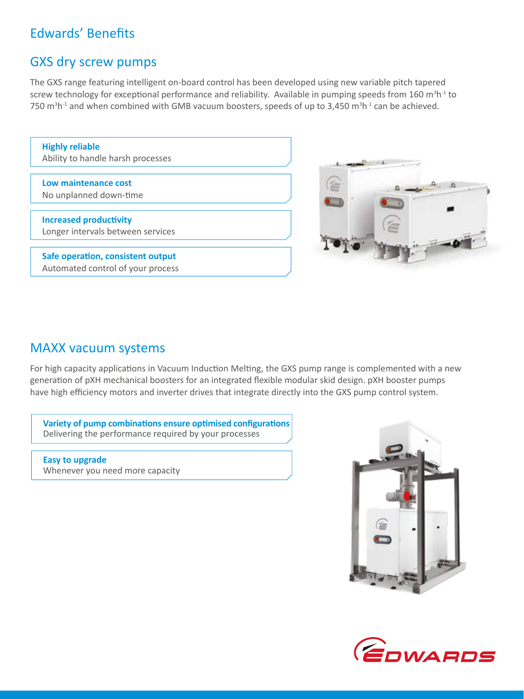## Edwards' Benefits

### GXS dry screw pumps

The GXS range featuring intelligent on-board control has been developed using new variable pitch tapered screw technology for exceptional performance and reliability. Available in pumping speeds from 160 m<sup>3</sup>h<sup>-1</sup> to 750 m<sup>3</sup>h<sup>-1</sup> and when combined with GMB vacuum boosters, speeds of up to 3,450 m<sup>3</sup>h<sup>-1</sup> can be achieved.

| <b>Highly reliable</b><br>Ability to handle harsh processes            |  |
|------------------------------------------------------------------------|--|
|                                                                        |  |
| Low maintenance cost<br>No unplanned down-time                         |  |
|                                                                        |  |
| <b>Increased productivity</b>                                          |  |
| Longer intervals between services                                      |  |
|                                                                        |  |
| Safe operation, consistent output<br>Automated control of your process |  |



### MAXX vacuum systems

For high capacity applications in Vacuum Induction Melting, the GXS pump range is complemented with a new generation of pXH mechanical boosters for an integrated flexible modular skid design. pXH booster pumps have high efficiency motors and inverter drives that integrate directly into the GXS pump control system.

**Variety of pump combinations ensure optimised configurations** Delivering the performance required by your processes

**Easy to upgrade**  Whenever you need more capacity